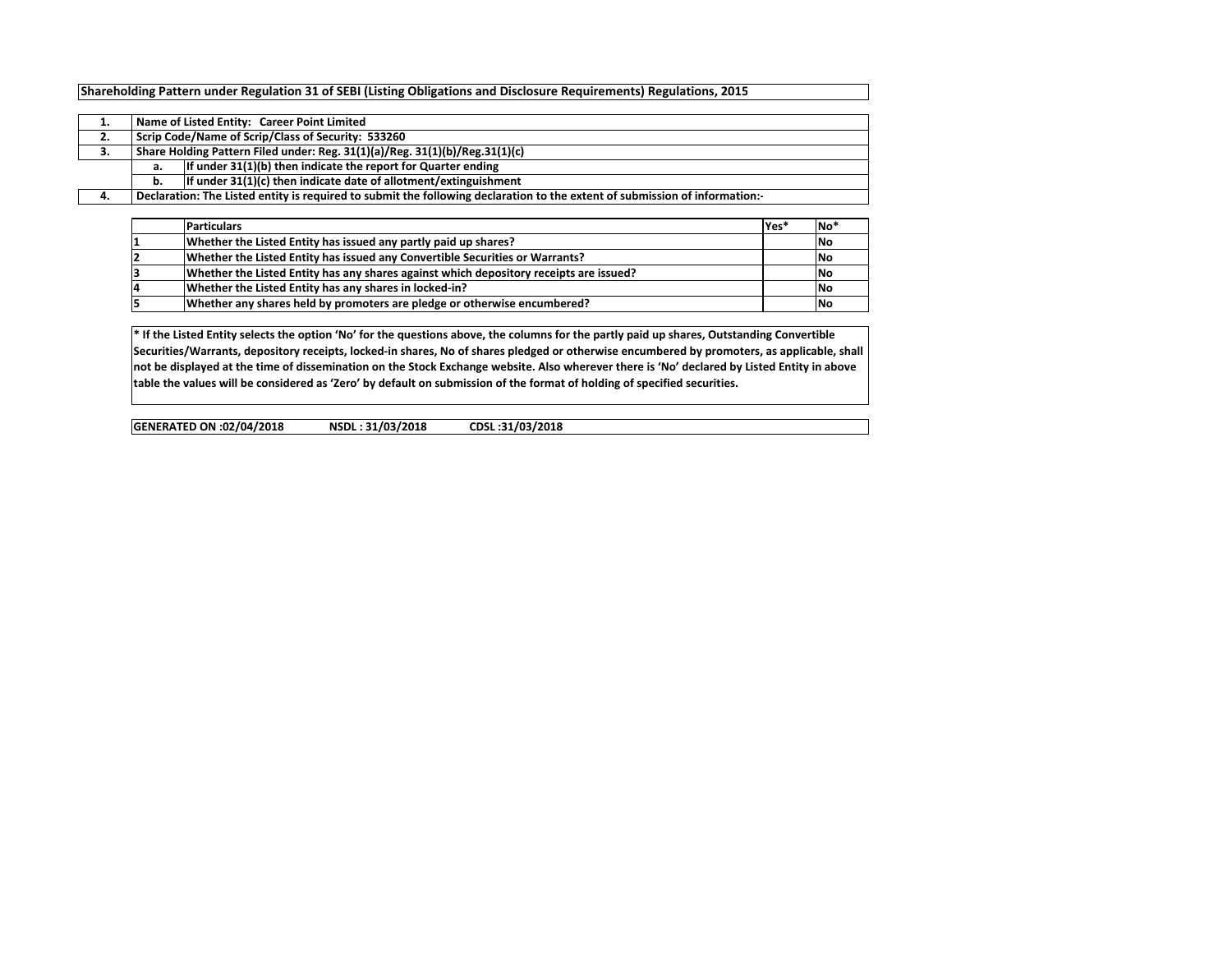## **Shareholding Pattern under Regulation 31 of SEBI (Listing Obligations and Disclosure Requirements) Regulations, 2015**

|    | Name of Listed Entity: Career Point Limited                                                                                                                                                                                                                                                                                                                |  |  |  |  |  |  |  |  |  |  |  |  |
|----|------------------------------------------------------------------------------------------------------------------------------------------------------------------------------------------------------------------------------------------------------------------------------------------------------------------------------------------------------------|--|--|--|--|--|--|--|--|--|--|--|--|
| 2. | Scrip Code/Name of Scrip/Class of Security: 533260                                                                                                                                                                                                                                                                                                         |  |  |  |  |  |  |  |  |  |  |  |  |
| З. | Share Holding Pattern Filed under: Reg. 31(1)(a)/Reg. 31(1)(b)/Reg.31(1)(c)<br>If under 31(1)(b) then indicate the report for Quarter ending<br>а.<br>If under 31(1)(c) then indicate date of allotment/extinguishment<br>b.<br>Declaration: The Listed entity is required to submit the following declaration to the extent of submission of information: |  |  |  |  |  |  |  |  |  |  |  |  |
|    |                                                                                                                                                                                                                                                                                                                                                            |  |  |  |  |  |  |  |  |  |  |  |  |
|    |                                                                                                                                                                                                                                                                                                                                                            |  |  |  |  |  |  |  |  |  |  |  |  |
| 4. |                                                                                                                                                                                                                                                                                                                                                            |  |  |  |  |  |  |  |  |  |  |  |  |

| <b>Particulars</b>                                                                     | Yes* | <b>No</b>  |
|----------------------------------------------------------------------------------------|------|------------|
| Whether the Listed Entity has issued any partly paid up shares?                        |      | <b>INo</b> |
| Whether the Listed Entity has issued any Convertible Securities or Warrants?           |      | <b>INo</b> |
| Whether the Listed Entity has any shares against which depository receipts are issued? |      | <b>INo</b> |
| Whether the Listed Entity has any shares in locked-in?                                 |      | <b>INo</b> |
| Whether any shares held by promoters are pledge or otherwise encumbered?               |      | <b>INc</b> |

**\* If the Listed Entity selects the option 'No' for the questions above, the columns for the partly paid up shares, Outstanding Convertible Securities/Warrants, depository receipts, locked-in shares, No of shares pledged or otherwise encumbered by promoters, as applicable, shall not be displayed at the time of dissemination on the Stock Exchange website. Also wherever there is 'No' declared by Listed Entity in above table the values will be considered as 'Zero' by default on submission of the format of holding of specified securities.**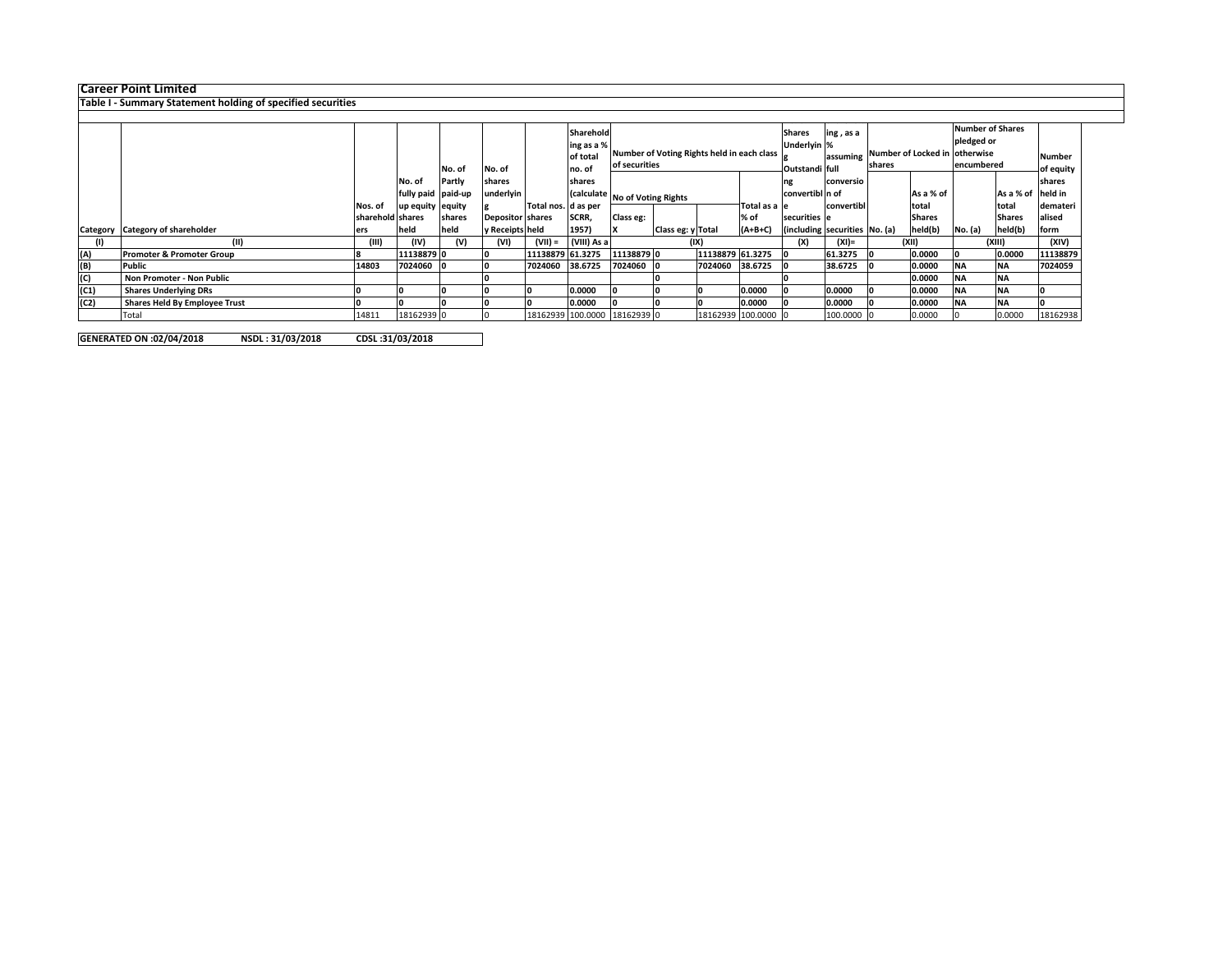**Career Point Limited Table I - Summary Statement holding of specified securities**

|      |                                      |                  |                    |             |                         |                      | Sharehold   |                                |                                            |                     |                | <b>Shares</b><br>ing, as a |                               |                               |                   | <b>Number of Shares</b> |               |               |
|------|--------------------------------------|------------------|--------------------|-------------|-------------------------|----------------------|-------------|--------------------------------|--------------------------------------------|---------------------|----------------|----------------------------|-------------------------------|-------------------------------|-------------------|-------------------------|---------------|---------------|
|      |                                      |                  |                    |             |                         |                      | ing as a %  |                                |                                            |                     |                | Underlyin %                |                               |                               |                   | pledged or              |               |               |
|      |                                      |                  |                    |             |                         |                      | of total    |                                | Number of Voting Rights held in each class |                     |                | assuming                   |                               | Number of Locked in otherwise |                   |                         |               | <b>Number</b> |
|      |                                      |                  |                    |             |                         |                      |             |                                | of securities                              |                     |                |                            |                               | shares                        |                   | encumbered              |               |               |
|      |                                      |                  |                    | No. of      | No. of                  |                      | no. of      |                                |                                            |                     | Outstandi full |                            |                               |                               |                   |                         | of equity     |               |
|      |                                      |                  | No. of             | Partly      | shares                  |                      | shares      |                                |                                            |                     | conversio      |                            |                               |                               |                   | shares                  |               |               |
|      |                                      |                  | fully paid paid-up |             | underlyin               |                      |             | (calculate No of Voting Rights |                                            | convertibl n of     |                |                            | As a % of                     |                               | As a % of held in |                         |               |               |
|      |                                      | Nos. of          | up equity equity   |             |                         | Total nos. Id as per |             |                                |                                            |                     | Total as a le  |                            | convertibl                    |                               | total             |                         | total         | demateri      |
|      |                                      | sharehold shares |                    | shares      | <b>Depositor shares</b> |                      | SCRR,       | Class eg:                      |                                            |                     | % of           | securities e               |                               |                               | <b>Shares</b>     |                         | <b>Shares</b> | alised        |
|      | Category Category of shareholder     | ers              | held               | <b>held</b> | y Receipts held         |                      | 1957)       |                                | Class eg: y Total                          |                     | $(A+B+C)$      |                            | (including securities No. (a) |                               | held(b)           | No. (a)                 | held(b)       | form          |
|      | (11)                                 | (III)            | (IV)               | (V)         | (VI)                    | $(VII) =$            | (VIII) As a |                                |                                            | (IX)                |                | (X)                        | (XI)=                         |                               | (XII)             |                         | (XIII)        | (XIV)         |
| (A)  | Promoter & Promoter Group            |                  | 11138879 0         |             |                         | 11138879 61.3275     |             | 11138879 0                     |                                            | 11138879 61.3275    |                |                            | 61.3275                       |                               | 0.0000            |                         | 0.0000        | 11138879      |
| (B)  | Public                               | 14803            | 7024060            |             |                         | 7024060              | 38.6725     | 7024060                        |                                            | 7024060             | 38.6725        |                            | 38.6725                       |                               | 0.0000            | <b>NA</b>               | <b>INA</b>    | 7024059       |
| (C)  | Non Promoter - Non Public            |                  |                    |             |                         |                      |             |                                |                                            |                     |                |                            |                               |                               | 0.0000            | <b>NA</b>               | <b>NA</b>     |               |
| (C1) | <b>Shares Underlying DRs</b>         |                  |                    |             |                         |                      | 0.0000      |                                |                                            |                     | 0.0000         |                            | 0.0000                        |                               | 0.0000            | <b>NA</b>               | <b>NA</b>     |               |
| (C2) | <b>Shares Held By Employee Trust</b> |                  |                    |             |                         |                      | 0.0000      |                                |                                            |                     | 0.0000         |                            | 0.0000                        |                               | 0.0000            | <b>NA</b>               | <b>INA</b>    |               |
|      | Total                                | 14811            | 18162939 0         |             |                         |                      |             | 18162939 100.0000 18162939 0   |                                            | 18162939 100.0000 0 |                |                            | 100.0000                      |                               | 0.0000            |                         | 0.0000        | 18162938      |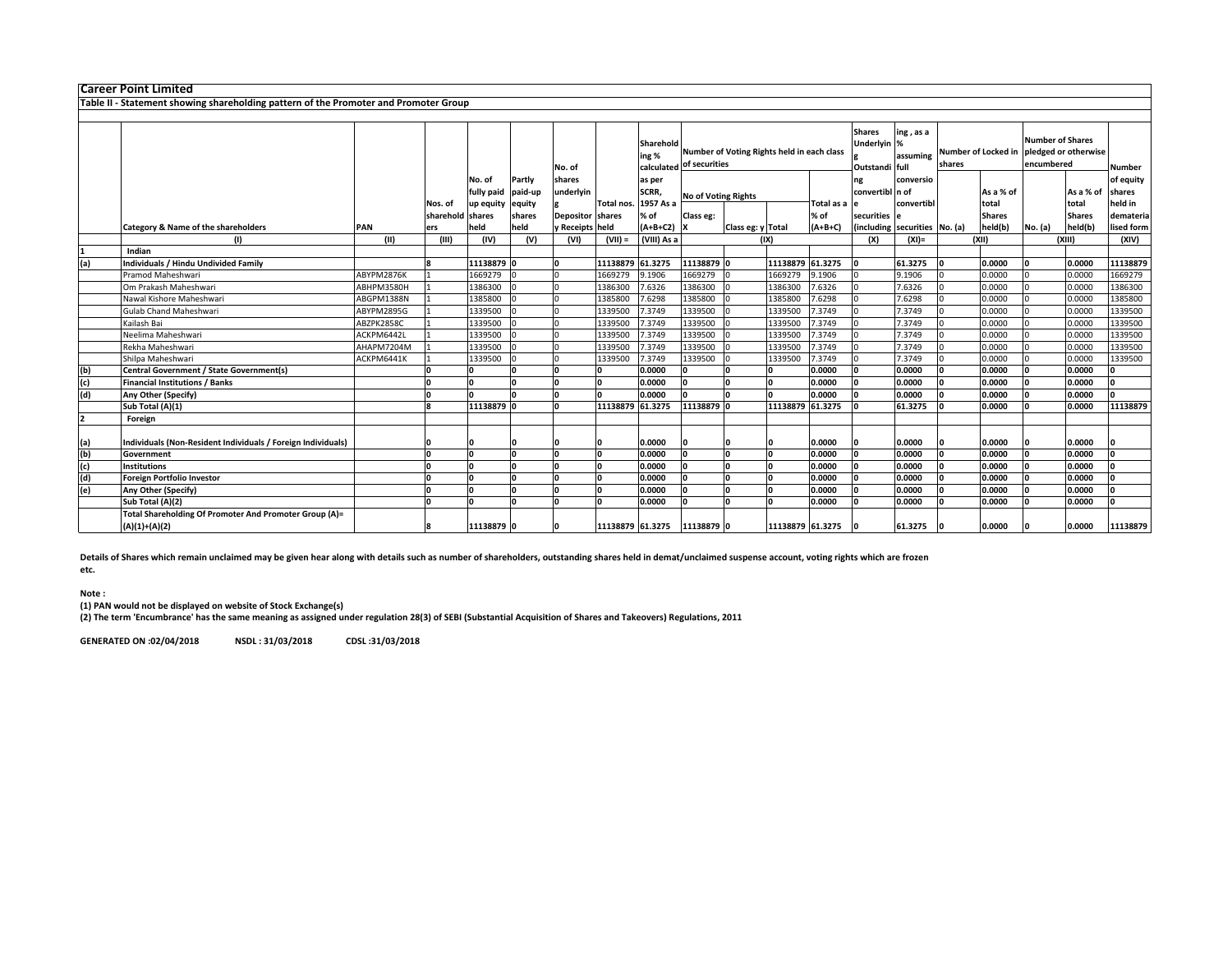|                                                                                                                                                                                                                                                                                                                                                                                                                                                                                                                                                                                                                                                                                                                            |                                         |                         |                                                                                                                                                                                        | No. of                                                                                                           |                                  | ing %                                                                                                              |                                                                                                                                                                                                        |                                                                                |                                                                                                  |                                                 |                                                                                                                                                                                                 | ing, as a                            | shares                                                                                                                                                                                                   |                                                         |                                                                                                                                                             |         | Number                                                                                                                                                                                                                                                                |
|----------------------------------------------------------------------------------------------------------------------------------------------------------------------------------------------------------------------------------------------------------------------------------------------------------------------------------------------------------------------------------------------------------------------------------------------------------------------------------------------------------------------------------------------------------------------------------------------------------------------------------------------------------------------------------------------------------------------------|-----------------------------------------|-------------------------|----------------------------------------------------------------------------------------------------------------------------------------------------------------------------------------|------------------------------------------------------------------------------------------------------------------|----------------------------------|--------------------------------------------------------------------------------------------------------------------|--------------------------------------------------------------------------------------------------------------------------------------------------------------------------------------------------------|--------------------------------------------------------------------------------|--------------------------------------------------------------------------------------------------|-------------------------------------------------|-------------------------------------------------------------------------------------------------------------------------------------------------------------------------------------------------|--------------------------------------|----------------------------------------------------------------------------------------------------------------------------------------------------------------------------------------------------------|---------------------------------------------------------|-------------------------------------------------------------------------------------------------------------------------------------------------------------|---------|-----------------------------------------------------------------------------------------------------------------------------------------------------------------------------------------------------------------------------------------------------------------------|
|                                                                                                                                                                                                                                                                                                                                                                                                                                                                                                                                                                                                                                                                                                                            |                                         |                         |                                                                                                                                                                                        |                                                                                                                  |                                  |                                                                                                                    |                                                                                                                                                                                                        |                                                                                |                                                                                                  |                                                 | ng                                                                                                                                                                                              |                                      |                                                                                                                                                                                                          |                                                         |                                                                                                                                                             |         | of equity                                                                                                                                                                                                                                                             |
|                                                                                                                                                                                                                                                                                                                                                                                                                                                                                                                                                                                                                                                                                                                            |                                         |                         |                                                                                                                                                                                        |                                                                                                                  |                                  |                                                                                                                    |                                                                                                                                                                                                        |                                                                                |                                                                                                  |                                                 |                                                                                                                                                                                                 |                                      |                                                                                                                                                                                                          |                                                         |                                                                                                                                                             |         | shares                                                                                                                                                                                                                                                                |
|                                                                                                                                                                                                                                                                                                                                                                                                                                                                                                                                                                                                                                                                                                                            |                                         |                         |                                                                                                                                                                                        |                                                                                                                  |                                  |                                                                                                                    |                                                                                                                                                                                                        |                                                                                |                                                                                                  |                                                 |                                                                                                                                                                                                 |                                      |                                                                                                                                                                                                          |                                                         |                                                                                                                                                             |         | held in                                                                                                                                                                                                                                                               |
|                                                                                                                                                                                                                                                                                                                                                                                                                                                                                                                                                                                                                                                                                                                            |                                         |                         |                                                                                                                                                                                        |                                                                                                                  |                                  |                                                                                                                    |                                                                                                                                                                                                        |                                                                                |                                                                                                  |                                                 |                                                                                                                                                                                                 |                                      |                                                                                                                                                                                                          |                                                         |                                                                                                                                                             |         | demateria<br>lised form                                                                                                                                                                                                                                               |
|                                                                                                                                                                                                                                                                                                                                                                                                                                                                                                                                                                                                                                                                                                                            |                                         |                         |                                                                                                                                                                                        |                                                                                                                  |                                  |                                                                                                                    |                                                                                                                                                                                                        |                                                                                |                                                                                                  |                                                 |                                                                                                                                                                                                 |                                      |                                                                                                                                                                                                          |                                                         |                                                                                                                                                             |         | (XIV)                                                                                                                                                                                                                                                                 |
|                                                                                                                                                                                                                                                                                                                                                                                                                                                                                                                                                                                                                                                                                                                            |                                         |                         |                                                                                                                                                                                        |                                                                                                                  |                                  |                                                                                                                    |                                                                                                                                                                                                        |                                                                                |                                                                                                  |                                                 |                                                                                                                                                                                                 |                                      |                                                                                                                                                                                                          |                                                         |                                                                                                                                                             |         |                                                                                                                                                                                                                                                                       |
|                                                                                                                                                                                                                                                                                                                                                                                                                                                                                                                                                                                                                                                                                                                            |                                         |                         |                                                                                                                                                                                        |                                                                                                                  |                                  |                                                                                                                    |                                                                                                                                                                                                        |                                                                                | 11138879                                                                                         | 61.3275                                         | I∩                                                                                                                                                                                              | 61.3275                              |                                                                                                                                                                                                          | 0.0000                                                  |                                                                                                                                                             | 0.0000  | 11138879                                                                                                                                                                                                                                                              |
| ABYPM2876K                                                                                                                                                                                                                                                                                                                                                                                                                                                                                                                                                                                                                                                                                                                 |                                         | 1669279                 |                                                                                                                                                                                        |                                                                                                                  | 1669279                          | 9.1906                                                                                                             | 1669279                                                                                                                                                                                                |                                                                                | 1669279                                                                                          | 9.1906                                          |                                                                                                                                                                                                 | 9.1906                               |                                                                                                                                                                                                          | 0.0000                                                  |                                                                                                                                                             | 0.0000  | 1669279                                                                                                                                                                                                                                                               |
| ABHPM3580H                                                                                                                                                                                                                                                                                                                                                                                                                                                                                                                                                                                                                                                                                                                 |                                         | 1386300                 |                                                                                                                                                                                        |                                                                                                                  | 1386300                          | 7.6326                                                                                                             | 1386300                                                                                                                                                                                                |                                                                                | 1386300                                                                                          | .6326                                           |                                                                                                                                                                                                 | 7.6326                               |                                                                                                                                                                                                          | 0.0000                                                  |                                                                                                                                                             | 0.0000  | 1386300                                                                                                                                                                                                                                                               |
| ABGPM1388N                                                                                                                                                                                                                                                                                                                                                                                                                                                                                                                                                                                                                                                                                                                 |                                         | 1385800                 |                                                                                                                                                                                        |                                                                                                                  | 1385800                          | 7.6298                                                                                                             | 1385800                                                                                                                                                                                                |                                                                                | 1385800                                                                                          | .6298                                           |                                                                                                                                                                                                 | 7.6298                               |                                                                                                                                                                                                          | 0.0000                                                  |                                                                                                                                                             | 0.0000  | 1385800                                                                                                                                                                                                                                                               |
| ABYPM2895G                                                                                                                                                                                                                                                                                                                                                                                                                                                                                                                                                                                                                                                                                                                 |                                         | 1339500                 |                                                                                                                                                                                        |                                                                                                                  | 1339500                          | 7.3749                                                                                                             | 1339500                                                                                                                                                                                                |                                                                                | 1339500                                                                                          | .3749                                           |                                                                                                                                                                                                 | 7.3749                               |                                                                                                                                                                                                          | 0.0000                                                  |                                                                                                                                                             | 0.0000  | 1339500                                                                                                                                                                                                                                                               |
| ABZPK2858C                                                                                                                                                                                                                                                                                                                                                                                                                                                                                                                                                                                                                                                                                                                 |                                         | 1339500                 |                                                                                                                                                                                        |                                                                                                                  | 1339500                          | 7.3749                                                                                                             | 1339500                                                                                                                                                                                                |                                                                                | 1339500                                                                                          | .3749                                           |                                                                                                                                                                                                 | 7.3749                               |                                                                                                                                                                                                          | 0.0000                                                  |                                                                                                                                                             | 0.0000  | 1339500                                                                                                                                                                                                                                                               |
| ACKPM6442L                                                                                                                                                                                                                                                                                                                                                                                                                                                                                                                                                                                                                                                                                                                 |                                         | 1339500                 |                                                                                                                                                                                        |                                                                                                                  | 1339500                          | 7.3749                                                                                                             | 1339500                                                                                                                                                                                                |                                                                                | 1339500                                                                                          | .3749                                           |                                                                                                                                                                                                 | 7.3749                               |                                                                                                                                                                                                          | 0.0000                                                  |                                                                                                                                                             | 0.0000  | 1339500                                                                                                                                                                                                                                                               |
|                                                                                                                                                                                                                                                                                                                                                                                                                                                                                                                                                                                                                                                                                                                            |                                         |                         |                                                                                                                                                                                        |                                                                                                                  |                                  |                                                                                                                    |                                                                                                                                                                                                        |                                                                                |                                                                                                  |                                                 |                                                                                                                                                                                                 |                                      |                                                                                                                                                                                                          |                                                         |                                                                                                                                                             |         | 1339500                                                                                                                                                                                                                                                               |
|                                                                                                                                                                                                                                                                                                                                                                                                                                                                                                                                                                                                                                                                                                                            |                                         |                         |                                                                                                                                                                                        |                                                                                                                  |                                  |                                                                                                                    |                                                                                                                                                                                                        |                                                                                |                                                                                                  |                                                 |                                                                                                                                                                                                 |                                      |                                                                                                                                                                                                          |                                                         |                                                                                                                                                             |         | 1339500                                                                                                                                                                                                                                                               |
|                                                                                                                                                                                                                                                                                                                                                                                                                                                                                                                                                                                                                                                                                                                            |                                         |                         |                                                                                                                                                                                        |                                                                                                                  |                                  |                                                                                                                    |                                                                                                                                                                                                        |                                                                                |                                                                                                  |                                                 |                                                                                                                                                                                                 |                                      |                                                                                                                                                                                                          |                                                         |                                                                                                                                                             |         |                                                                                                                                                                                                                                                                       |
|                                                                                                                                                                                                                                                                                                                                                                                                                                                                                                                                                                                                                                                                                                                            |                                         |                         |                                                                                                                                                                                        |                                                                                                                  |                                  |                                                                                                                    |                                                                                                                                                                                                        |                                                                                |                                                                                                  |                                                 |                                                                                                                                                                                                 |                                      |                                                                                                                                                                                                          |                                                         |                                                                                                                                                             |         |                                                                                                                                                                                                                                                                       |
|                                                                                                                                                                                                                                                                                                                                                                                                                                                                                                                                                                                                                                                                                                                            |                                         |                         |                                                                                                                                                                                        |                                                                                                                  |                                  |                                                                                                                    |                                                                                                                                                                                                        |                                                                                |                                                                                                  |                                                 |                                                                                                                                                                                                 |                                      |                                                                                                                                                                                                          |                                                         |                                                                                                                                                             |         |                                                                                                                                                                                                                                                                       |
|                                                                                                                                                                                                                                                                                                                                                                                                                                                                                                                                                                                                                                                                                                                            |                                         |                         |                                                                                                                                                                                        |                                                                                                                  |                                  |                                                                                                                    |                                                                                                                                                                                                        |                                                                                |                                                                                                  |                                                 |                                                                                                                                                                                                 |                                      |                                                                                                                                                                                                          |                                                         |                                                                                                                                                             |         | 11138879                                                                                                                                                                                                                                                              |
|                                                                                                                                                                                                                                                                                                                                                                                                                                                                                                                                                                                                                                                                                                                            |                                         |                         |                                                                                                                                                                                        |                                                                                                                  |                                  |                                                                                                                    |                                                                                                                                                                                                        |                                                                                |                                                                                                  |                                                 |                                                                                                                                                                                                 |                                      |                                                                                                                                                                                                          |                                                         |                                                                                                                                                             |         |                                                                                                                                                                                                                                                                       |
|                                                                                                                                                                                                                                                                                                                                                                                                                                                                                                                                                                                                                                                                                                                            |                                         |                         |                                                                                                                                                                                        |                                                                                                                  |                                  | 0.0000                                                                                                             |                                                                                                                                                                                                        |                                                                                |                                                                                                  | 0.0000                                          |                                                                                                                                                                                                 |                                      |                                                                                                                                                                                                          | 0.0000                                                  |                                                                                                                                                             |         |                                                                                                                                                                                                                                                                       |
|                                                                                                                                                                                                                                                                                                                                                                                                                                                                                                                                                                                                                                                                                                                            | ın                                      | n                       |                                                                                                                                                                                        | 'n                                                                                                               |                                  |                                                                                                                    |                                                                                                                                                                                                        | n                                                                              | n                                                                                                |                                                 | n                                                                                                                                                                                               |                                      |                                                                                                                                                                                                          |                                                         |                                                                                                                                                             |         |                                                                                                                                                                                                                                                                       |
|                                                                                                                                                                                                                                                                                                                                                                                                                                                                                                                                                                                                                                                                                                                            |                                         |                         | I∩                                                                                                                                                                                     |                                                                                                                  |                                  | 0.0000                                                                                                             | I∩                                                                                                                                                                                                     |                                                                                |                                                                                                  |                                                 |                                                                                                                                                                                                 |                                      |                                                                                                                                                                                                          |                                                         |                                                                                                                                                             |         |                                                                                                                                                                                                                                                                       |
|                                                                                                                                                                                                                                                                                                                                                                                                                                                                                                                                                                                                                                                                                                                            |                                         |                         |                                                                                                                                                                                        |                                                                                                                  |                                  | 0.0000                                                                                                             | I∩                                                                                                                                                                                                     |                                                                                |                                                                                                  |                                                 |                                                                                                                                                                                                 |                                      |                                                                                                                                                                                                          |                                                         |                                                                                                                                                             |         |                                                                                                                                                                                                                                                                       |
|                                                                                                                                                                                                                                                                                                                                                                                                                                                                                                                                                                                                                                                                                                                            |                                         |                         |                                                                                                                                                                                        |                                                                                                                  |                                  |                                                                                                                    |                                                                                                                                                                                                        |                                                                                |                                                                                                  |                                                 |                                                                                                                                                                                                 |                                      |                                                                                                                                                                                                          |                                                         |                                                                                                                                                             |         |                                                                                                                                                                                                                                                                       |
|                                                                                                                                                                                                                                                                                                                                                                                                                                                                                                                                                                                                                                                                                                                            |                                         |                         |                                                                                                                                                                                        |                                                                                                                  |                                  | 0.0000                                                                                                             |                                                                                                                                                                                                        |                                                                                |                                                                                                  | 0.0000                                          |                                                                                                                                                                                                 | 0.0000                               |                                                                                                                                                                                                          | 0.0000                                                  |                                                                                                                                                             | 0.0000  |                                                                                                                                                                                                                                                                       |
|                                                                                                                                                                                                                                                                                                                                                                                                                                                                                                                                                                                                                                                                                                                            |                                         |                         |                                                                                                                                                                                        |                                                                                                                  |                                  |                                                                                                                    |                                                                                                                                                                                                        |                                                                                |                                                                                                  |                                                 |                                                                                                                                                                                                 | 61.3275                              |                                                                                                                                                                                                          | 0.0000                                                  |                                                                                                                                                             |         | 11138879                                                                                                                                                                                                                                                              |
| <b>Career Point Limited</b><br>Category & Name of the shareholders<br>(1)<br>Indian<br><b>Individuals / Hindu Undivided Family</b><br>Pramod Maheshwari<br>Om Prakash Maheshwari<br>Nawal Kishore Maheshwari<br>Gulab Chand Maheshwari<br>Kailash Bai<br>Neelima Maheshwari<br>Rekha Maheshwari<br>Shilpa Maheshwari<br>Central Government / State Government(s)<br><b>Financial Institutions / Banks</b><br>Any Other (Specify)<br>Sub Total (A)(1)<br>Foreign<br>Individuals (Non-Resident Individuals / Foreign Individuals)<br>Government<br><b>Institutions</b><br>Foreign Portfolio Investor<br>Any Other (Specify)<br>Sub Total (A)(2)<br>Total Shareholding Of Promoter And Promoter Group (A)=<br>$(A)(1)+(A)(2)$ | PAN<br>(II)<br>AHAPM7204M<br>ACKPM6441K | Nos. of<br>ers<br>(III) | Table II - Statement showing shareholding pattern of the Promoter and Promoter Group<br>No. of<br>fully paid<br>up equity<br>sharehold<br>shares<br>held<br>(IV)<br>1339500<br>1339500 | Partly<br>paid-up<br>equity<br>shares<br>held<br>(V)<br>11138879 0<br>11138879 0<br>I۵<br>In<br>'n<br>11138879 0 | shares<br>underlyin<br>(VI)<br>n | <b>Depositor</b> shares<br><b>Receipts</b> held<br>$(VII) =$<br>1339500<br>1339500<br>n<br>In<br>ln.<br>ln.<br>ln. | as per<br>SCRR,<br>1957 As a<br>Total nos.<br>% of<br>(VIII) As a<br>61.3275<br>11138879<br>7.3749<br>7.3749<br>0.0000<br>0.0000<br>0.0000<br>11138879 61.3275<br>0.0000<br>0.0000<br>11138879 61.3275 | Sharehold<br>Class eg:<br>$(A+B+C2)$ X<br>1339500<br>1339500<br>'n<br>'n<br>In | calculated of securities<br><b>No of Voting Rights</b><br>11138879 0<br>11138879 0<br>11138879 0 | Class eg: y Total<br>(IX)<br>1339500<br>1339500 | Number of Voting Rights held in each class<br>% of<br>$(A+B+C)$<br>.3749<br>.3749<br>0.0000<br>0.0000<br>0.0000<br>11138879 61.3275<br>0.0000<br>0.0000<br>0.0000<br>0.0000<br>11138879 61.3275 | <b>Shares</b><br>Total as a e<br>(X) | Underlyin %<br>Outstandi full<br>conversio<br>convertibl n of<br>securities e<br>$(XI) =$<br>7.3749<br>7.3749<br>0.0000<br>0.0000<br>0.0000<br>61.3275<br>0.0000<br>0.0000<br>0.0000<br>0.0000<br>0.0000 | assuming<br>convertibl<br>(including securities No. (a) | As a % of<br>total<br><b>Shares</b><br>held(b)<br>(XII)<br>0.0000<br>0.0000<br>0.0000<br>0.0000<br>0.0000<br>0.0000<br>0.0000<br>0.0000<br>0.0000<br>0.0000 | No. (a) | <b>Number of Shares</b><br>Number of Locked in pledged or otherwise<br>encumbered<br>As a % of<br>total<br><b>Shares</b><br>held(b)<br>(XIII)<br>0.0000<br>0.0000<br>0.0000<br>0.0000<br>0.0000<br>0.0000<br>0.0000<br>0.0000<br>0.0000<br>0.0000<br>0.0000<br>0.0000 |

**Details of Shares which remain unclaimed may be given hear along with details such as number of shareholders, outstanding shares held in demat/unclaimed suspense account, voting rights which are frozen etc.**

## **Note :**

(1) PAN would not be displayed on website of Stock Exchange(s)<br>(2) The term 'Encumbrance' has the same meaning as assigned under regulation 28(3) of SEBI (Substantial Acquisition of Shares and Takeovers) Regulations, 2011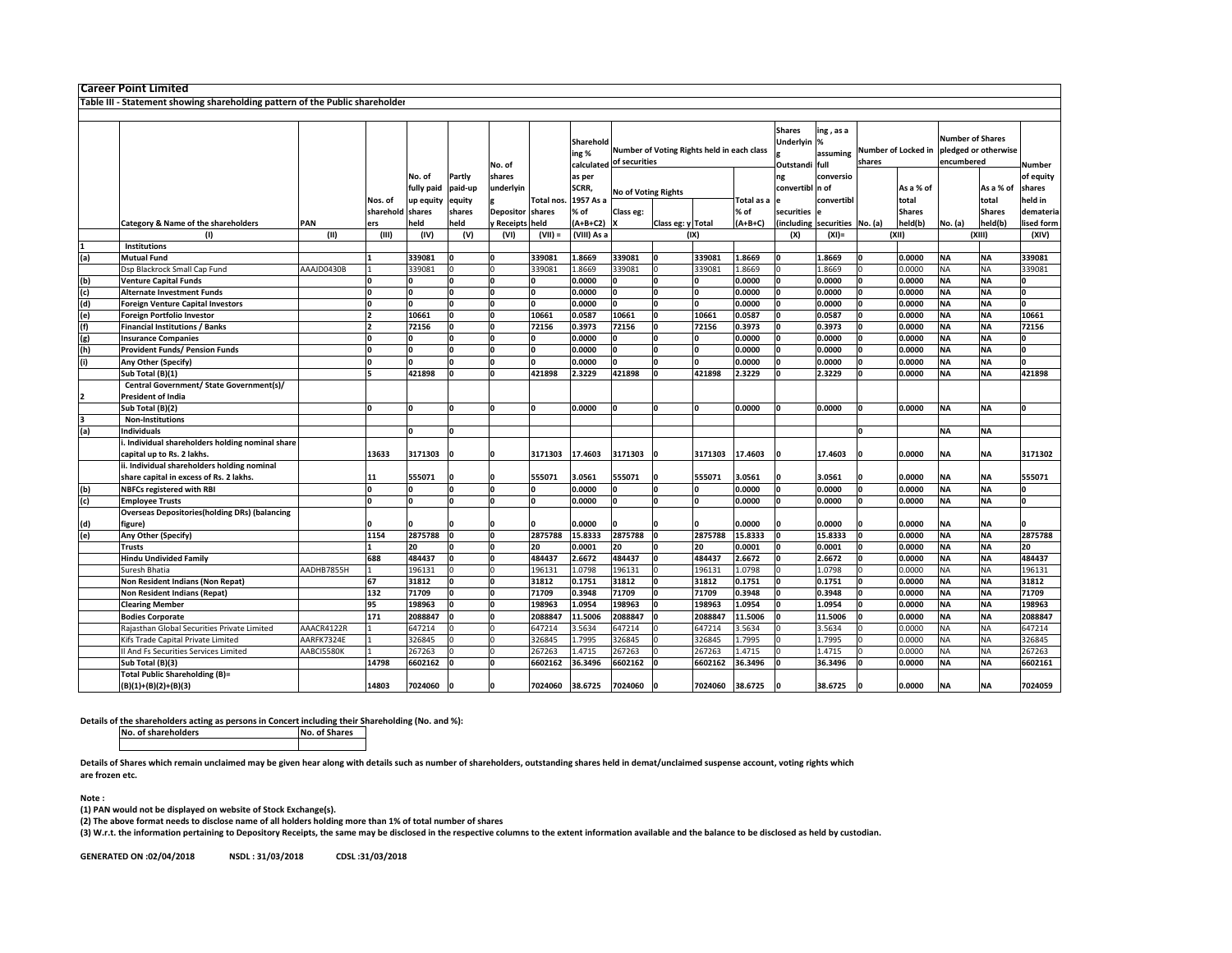| Table III - Statement showing shareholding pattern of the Public shareholder<br><b>Shares</b><br>ing, as a<br><b>Number of Shares</b><br>Underlyin %<br>Sharehold<br>Number of Voting Rights held in each class<br>Number of Locked in pledged or otherwise<br>ing %<br>assuming<br>encumbered<br>of securities<br>shares<br>calculated<br>Outstandi full<br>Number<br>No. of<br>Partly<br>conversio<br>of equity<br>No. of<br>shares<br>as per<br>ng<br>SCRR,<br>fully paid<br>paid-up<br>convertibl n of<br>As a % of<br>As a % of<br>shares<br>underlyin<br><b>No of Voting Rights</b><br>1957 As a<br>Total as a<br>convertibl<br>total<br>total<br>held in<br>Nos. of<br>up equity<br>equity<br>Total nos.<br>sharehold shares<br>% of<br><b>Shares</b><br>shares<br>Depositor shares<br>% of<br>Class eg:<br>securities<br><b>Shares</b><br>demateria<br>held<br>PAN<br>held<br>y Receipts held<br>$(A+B+C2)$<br>$(A+B+C)$<br>(including<br>held(b)<br>No. (a)<br>held(b)<br>lised form<br>Category & Name of the shareholders<br>Class eg: y Total<br>securities No. (a)<br>ers<br>(II)<br>(IV)<br>(VIII) As a<br>(XII)<br>(XIII)<br>(III)<br>(V)<br>(VI)<br>$(VII) =$<br>(IX)<br>(X)<br>$(XI) =$<br>(XIV)<br>$\sf^{(1)}$<br>Institutions<br><b>NA</b><br><b>Mutual Fund</b><br>339081<br>339081<br>1.8669<br>339081<br>339081<br>1.8669<br>1.8669<br>0.0000<br><b>NA</b><br>339081<br>(a)<br>0<br>339081<br>1.8669<br>339081<br>1.8669<br>0.0000<br><b>NA</b><br>Dsp Blackrock Small Cap Fund<br>AAAJD0430B<br>339081<br>339081<br>1.8669<br>NA<br>339081<br>0.0000<br>0.0000<br><b>NA</b><br><b>NA</b><br><b>Venture Capital Funds</b><br>0.0000<br>0.0000<br>(b)<br>O<br>١o<br><b>NA</b><br><b>NA</b><br>(c)<br>n<br>0.0000<br>0.0000<br>0.0000<br>0.0000<br><b>Alternate Investment Funds</b><br>O<br>I۵<br>(d)<br>0.0000<br>0.0000<br>0.0000<br>0.0000<br><b>NA</b><br><b>NA</b><br>n<br>Foreign Venture Capital Investors<br><b>NA</b><br>10661<br>10661<br>0.0587<br>10661<br>10661<br>0.0587<br>0.0587<br>0.0000<br><b>NA</b><br>10661<br>(e)<br>Foreign Portfolio Investor<br>(f)<br>0.0000<br><b>NA</b><br><b>NA</b><br>72156<br>0.3973<br>72156<br>72156<br>0.3973<br>0.3973<br>72156<br><b>Financial Institutions / Banks</b><br>72156<br>١o<br>O<br>١o<br>0.0000<br>0.0000<br>0.0000<br><b>NA</b><br><b>NA</b><br>(g)<br>0.0000<br>Insurance Companies<br>O<br>O<br>0<br>'n<br><b>NA</b><br><b>NA</b><br>Provident Funds/ Pension Funds<br>0.0000<br>0.0000<br>0.0000<br>0.0000<br>U<br>(h)<br>U<br>١o<br>0.0000<br><b>NA</b><br><b>NA</b><br>Any Other (Specify)<br>I۵<br>0.0000<br>0.0000<br>0.0000<br>O<br>2.3229<br>2.3229<br>2.3229<br><b>NA</b><br>421898<br>421898<br>421898<br>421898<br>421898<br>0.0000<br><b>NA</b><br>Sub Total (B)(1)<br>Central Government/ State Government(s)/<br><b>President of India</b><br><b>NA</b><br>Sub Total (B)(2)<br>O<br>0.0000<br>0.0000<br>0.0000<br>0.0000<br><b>NA</b><br>O<br>'n<br>O<br>O<br>In<br><b>Non-Institutions</b><br>(a)<br>ndividuals<br><b>NA</b><br><b>NA</b><br>Individual shareholders holding nominal share<br>13633<br>3171303<br>3171303<br>17.4603<br>3171303<br>3171303<br>17.4603<br>17.4603<br>0.0000<br><b>NA</b><br>NA<br>3171302<br>capital up to Rs. 2 lakhs.<br>i. Individual shareholders holding nominal<br>555071<br>3.0561<br>0.0000<br><b>NA</b><br><b>NA</b><br>share capital in excess of Rs. 2 lakhs.<br>555071<br>555071<br>3.0561<br>555071<br>3.0561<br>555071<br>11<br>0.0000<br>0.0000<br>0.0000<br>0.0000<br><b>NA</b><br><b>NA</b><br><b>NBFCs registered with RBI</b><br>I٥<br>'n<br>(b)<br>١o<br>n<br>0.0000<br><b>NA</b><br><b>NA</b><br>(c)<br>١o<br>0.0000<br>0.0000<br>0.0000<br>O<br><b>Employee Trusts</b><br><b>Overseas Depositories(holding DRs) (balancing</b><br>0.0000<br>0.0000<br>0.0000<br>0.0000<br><b>NA</b><br>(d)<br>'igure)<br>NA<br><b>NA</b><br>1154<br>2875788<br>2875788<br>15.8333<br>2875788<br>2875788<br>15.8333<br>15.8333<br>0.0000<br><b>NA</b><br>2875788<br>(e)<br>Any Other (Specify)<br>n<br>20<br>0.0001<br>20<br>0.0001<br>0.0001<br>0.0000<br><b>NA</b><br><b>NA</b><br>20<br><b>Trusts</b><br>'n<br>20<br>20<br>'n<br><b>NA</b><br>688<br>484437<br>484437<br>484437<br>484437<br>2.6672<br>2.6672<br>ΝA<br>484437<br><b>Hindu Undivided Family</b><br>2.6672<br>0.0000<br>196131<br>196131<br>196131<br>1.0798<br>0.0000<br>ΝA<br><b>NA</b><br>AADHB7855H<br>196131<br>1.0798<br>1.0798<br>196131<br>Suresh Bhatia<br>67<br>31812<br>31812<br>0.1751<br>31812<br>31812<br>0.1751<br>0.1751<br>0.0000<br><b>NA</b><br>31812<br>Non Resident Indians (Non Repat)<br><b>NA</b><br>132<br>71709<br>0.3948<br>71709<br>71709<br>0.3948<br>0.3948<br>0.0000<br><b>NA</b><br>Non Resident Indians (Repat)<br>71709<br><b>NA</b><br>71709<br>'n<br>'n<br>95<br>198963<br>1.0954<br>198963<br>198963<br>1.0954<br>198963<br>1.0954<br>0.0000<br><b>NA</b><br><b>NA</b><br>198963<br><b>Clearing Member</b><br>'n<br>n<br>171<br>2088847<br>2088847<br><b>NA</b><br><b>NA</b><br>2088847<br>11.5006<br>2088847<br>11.5006<br>11.5006<br>0.0000<br>2088847<br><b>Bodies Corporate</b><br>O<br>3.5634<br>ΝA<br>Rajasthan Global Securities Private Limited<br>AAACR4122R<br>647214<br>647214<br>3.5634<br>647214<br>647214<br>3.5634<br>0.0000<br><b>NA</b><br>647214<br><b>NA</b><br>326845<br>326845<br>1.7995<br>326845<br>326845<br>1.7995<br>1.7995<br>0.0000<br>ΝA<br>326845<br>Kifs Trade Capital Private Limited<br>AARFK7324E<br>AABCI5580K<br>267263<br>267263<br>1.4715<br>267263<br>267263<br>1.4715<br>1.4715<br>0.0000<br>NΑ<br><b>NA</b><br>267263<br>I And Fs Securities Services Limited<br>36.3496<br><b>NA</b><br>Sub Total (B)(3)<br>14798<br>6602162<br>6602162<br>36.3496<br>6602162<br>6602162<br>36.3496<br>0.0000<br><b>NA</b><br>6602161<br><b>Total Public Shareholding (B)=</b><br>(B)(1)+(B)(2)+(B)(3)<br>14803<br>7024060<br>7024060 38.6725<br>7024060<br>7024060<br>38.6725<br>38.6725<br>0.0000<br><b>NA</b><br><b>NA</b><br>7024059 |   | <b>Career Point Limited</b> |  |  |  |  |  |  |  |  |  |  |
|--------------------------------------------------------------------------------------------------------------------------------------------------------------------------------------------------------------------------------------------------------------------------------------------------------------------------------------------------------------------------------------------------------------------------------------------------------------------------------------------------------------------------------------------------------------------------------------------------------------------------------------------------------------------------------------------------------------------------------------------------------------------------------------------------------------------------------------------------------------------------------------------------------------------------------------------------------------------------------------------------------------------------------------------------------------------------------------------------------------------------------------------------------------------------------------------------------------------------------------------------------------------------------------------------------------------------------------------------------------------------------------------------------------------------------------------------------------------------------------------------------------------------------------------------------------------------------------------------------------------------------------------------------------------------------------------------------------------------------------------------------------------------------------------------------------------------------------------------------------------------------------------------------------------------------------------------------------------------------------------------------------------------------------------------------------------------------------------------------------------------------------------------------------------------------------------------------------------------------------------------------------------------------------------------------------------------------------------------------------------------------------------------------------------------------------------------------------------------------------------------------------------------------------------------------------------------------------------------------------------------------------------------------------------------------------------------------------------------------------------------------------------------------------------------------------------------------------------------------------------------------------------------------------------------------------------------------------------------------------------------------------------------------------------------------------------------------------------------------------------------------------------------------------------------------------------------------------------------------------------------------------------------------------------------------------------------------------------------------------------------------------------------------------------------------------------------------------------------------------------------------------------------------------------------------------------------------------------------------------------------------------------------------------------------------------------------------------------------------------------------------------------------------------------------------------------------------------------------------------------------------------------------------------------------------------------------------------------------------------------------------------------------------------------------------------------------------------------------------------------------------------------------------------------------------------------------------------------------------------------------------------------------------------------------------------------------------------------------------------------------------------------------------------------------------------------------------------------------------------------------------------------------------------------------------------------------------------------------------------------------------------------------------------------------------------------------------------------------------------------------------------------------------------------------------------------------------------------------------------------------------------------------------------------------------------------------------------------------------------------------------------------------------------------------------------------------------------------------------------------------------------------------------------------------------------------------------------------------------------------------------------------------------------------------------------------------------------------------------------------------------------------------------------------------------------------------------------------------------------------------------------------------------------------------------------------------------------------------------------------------------------------------------------------------------------------------------------------------------------------------------------------------------------------------------------------------------------------------------------------------------------------------------------------------------------------------------------------------------------------------------------------|---|-----------------------------|--|--|--|--|--|--|--|--|--|--|
|                                                                                                                                                                                                                                                                                                                                                                                                                                                                                                                                                                                                                                                                                                                                                                                                                                                                                                                                                                                                                                                                                                                                                                                                                                                                                                                                                                                                                                                                                                                                                                                                                                                                                                                                                                                                                                                                                                                                                                                                                                                                                                                                                                                                                                                                                                                                                                                                                                                                                                                                                                                                                                                                                                                                                                                                                                                                                                                                                                                                                                                                                                                                                                                                                                                                                                                                                                                                                                                                                                                                                                                                                                                                                                                                                                                                                                                                                                                                                                                                                                                                                                                                                                                                                                                                                                                                                                                                                                                                                                                                                                                                                                                                                                                                                                                                                                                                                                                                                                                                                                                                                                                                                                                                                                                                                                                                                                                                                                                                                                                                                                                                                                                                                                                                                                                                                                                                                                                                                                                                                    |   |                             |  |  |  |  |  |  |  |  |  |  |
|                                                                                                                                                                                                                                                                                                                                                                                                                                                                                                                                                                                                                                                                                                                                                                                                                                                                                                                                                                                                                                                                                                                                                                                                                                                                                                                                                                                                                                                                                                                                                                                                                                                                                                                                                                                                                                                                                                                                                                                                                                                                                                                                                                                                                                                                                                                                                                                                                                                                                                                                                                                                                                                                                                                                                                                                                                                                                                                                                                                                                                                                                                                                                                                                                                                                                                                                                                                                                                                                                                                                                                                                                                                                                                                                                                                                                                                                                                                                                                                                                                                                                                                                                                                                                                                                                                                                                                                                                                                                                                                                                                                                                                                                                                                                                                                                                                                                                                                                                                                                                                                                                                                                                                                                                                                                                                                                                                                                                                                                                                                                                                                                                                                                                                                                                                                                                                                                                                                                                                                                                    |   |                             |  |  |  |  |  |  |  |  |  |  |
|                                                                                                                                                                                                                                                                                                                                                                                                                                                                                                                                                                                                                                                                                                                                                                                                                                                                                                                                                                                                                                                                                                                                                                                                                                                                                                                                                                                                                                                                                                                                                                                                                                                                                                                                                                                                                                                                                                                                                                                                                                                                                                                                                                                                                                                                                                                                                                                                                                                                                                                                                                                                                                                                                                                                                                                                                                                                                                                                                                                                                                                                                                                                                                                                                                                                                                                                                                                                                                                                                                                                                                                                                                                                                                                                                                                                                                                                                                                                                                                                                                                                                                                                                                                                                                                                                                                                                                                                                                                                                                                                                                                                                                                                                                                                                                                                                                                                                                                                                                                                                                                                                                                                                                                                                                                                                                                                                                                                                                                                                                                                                                                                                                                                                                                                                                                                                                                                                                                                                                                                                    |   |                             |  |  |  |  |  |  |  |  |  |  |
|                                                                                                                                                                                                                                                                                                                                                                                                                                                                                                                                                                                                                                                                                                                                                                                                                                                                                                                                                                                                                                                                                                                                                                                                                                                                                                                                                                                                                                                                                                                                                                                                                                                                                                                                                                                                                                                                                                                                                                                                                                                                                                                                                                                                                                                                                                                                                                                                                                                                                                                                                                                                                                                                                                                                                                                                                                                                                                                                                                                                                                                                                                                                                                                                                                                                                                                                                                                                                                                                                                                                                                                                                                                                                                                                                                                                                                                                                                                                                                                                                                                                                                                                                                                                                                                                                                                                                                                                                                                                                                                                                                                                                                                                                                                                                                                                                                                                                                                                                                                                                                                                                                                                                                                                                                                                                                                                                                                                                                                                                                                                                                                                                                                                                                                                                                                                                                                                                                                                                                                                                    |   |                             |  |  |  |  |  |  |  |  |  |  |
|                                                                                                                                                                                                                                                                                                                                                                                                                                                                                                                                                                                                                                                                                                                                                                                                                                                                                                                                                                                                                                                                                                                                                                                                                                                                                                                                                                                                                                                                                                                                                                                                                                                                                                                                                                                                                                                                                                                                                                                                                                                                                                                                                                                                                                                                                                                                                                                                                                                                                                                                                                                                                                                                                                                                                                                                                                                                                                                                                                                                                                                                                                                                                                                                                                                                                                                                                                                                                                                                                                                                                                                                                                                                                                                                                                                                                                                                                                                                                                                                                                                                                                                                                                                                                                                                                                                                                                                                                                                                                                                                                                                                                                                                                                                                                                                                                                                                                                                                                                                                                                                                                                                                                                                                                                                                                                                                                                                                                                                                                                                                                                                                                                                                                                                                                                                                                                                                                                                                                                                                                    |   |                             |  |  |  |  |  |  |  |  |  |  |
|                                                                                                                                                                                                                                                                                                                                                                                                                                                                                                                                                                                                                                                                                                                                                                                                                                                                                                                                                                                                                                                                                                                                                                                                                                                                                                                                                                                                                                                                                                                                                                                                                                                                                                                                                                                                                                                                                                                                                                                                                                                                                                                                                                                                                                                                                                                                                                                                                                                                                                                                                                                                                                                                                                                                                                                                                                                                                                                                                                                                                                                                                                                                                                                                                                                                                                                                                                                                                                                                                                                                                                                                                                                                                                                                                                                                                                                                                                                                                                                                                                                                                                                                                                                                                                                                                                                                                                                                                                                                                                                                                                                                                                                                                                                                                                                                                                                                                                                                                                                                                                                                                                                                                                                                                                                                                                                                                                                                                                                                                                                                                                                                                                                                                                                                                                                                                                                                                                                                                                                                                    |   |                             |  |  |  |  |  |  |  |  |  |  |
|                                                                                                                                                                                                                                                                                                                                                                                                                                                                                                                                                                                                                                                                                                                                                                                                                                                                                                                                                                                                                                                                                                                                                                                                                                                                                                                                                                                                                                                                                                                                                                                                                                                                                                                                                                                                                                                                                                                                                                                                                                                                                                                                                                                                                                                                                                                                                                                                                                                                                                                                                                                                                                                                                                                                                                                                                                                                                                                                                                                                                                                                                                                                                                                                                                                                                                                                                                                                                                                                                                                                                                                                                                                                                                                                                                                                                                                                                                                                                                                                                                                                                                                                                                                                                                                                                                                                                                                                                                                                                                                                                                                                                                                                                                                                                                                                                                                                                                                                                                                                                                                                                                                                                                                                                                                                                                                                                                                                                                                                                                                                                                                                                                                                                                                                                                                                                                                                                                                                                                                                                    |   |                             |  |  |  |  |  |  |  |  |  |  |
|                                                                                                                                                                                                                                                                                                                                                                                                                                                                                                                                                                                                                                                                                                                                                                                                                                                                                                                                                                                                                                                                                                                                                                                                                                                                                                                                                                                                                                                                                                                                                                                                                                                                                                                                                                                                                                                                                                                                                                                                                                                                                                                                                                                                                                                                                                                                                                                                                                                                                                                                                                                                                                                                                                                                                                                                                                                                                                                                                                                                                                                                                                                                                                                                                                                                                                                                                                                                                                                                                                                                                                                                                                                                                                                                                                                                                                                                                                                                                                                                                                                                                                                                                                                                                                                                                                                                                                                                                                                                                                                                                                                                                                                                                                                                                                                                                                                                                                                                                                                                                                                                                                                                                                                                                                                                                                                                                                                                                                                                                                                                                                                                                                                                                                                                                                                                                                                                                                                                                                                                                    |   |                             |  |  |  |  |  |  |  |  |  |  |
|                                                                                                                                                                                                                                                                                                                                                                                                                                                                                                                                                                                                                                                                                                                                                                                                                                                                                                                                                                                                                                                                                                                                                                                                                                                                                                                                                                                                                                                                                                                                                                                                                                                                                                                                                                                                                                                                                                                                                                                                                                                                                                                                                                                                                                                                                                                                                                                                                                                                                                                                                                                                                                                                                                                                                                                                                                                                                                                                                                                                                                                                                                                                                                                                                                                                                                                                                                                                                                                                                                                                                                                                                                                                                                                                                                                                                                                                                                                                                                                                                                                                                                                                                                                                                                                                                                                                                                                                                                                                                                                                                                                                                                                                                                                                                                                                                                                                                                                                                                                                                                                                                                                                                                                                                                                                                                                                                                                                                                                                                                                                                                                                                                                                                                                                                                                                                                                                                                                                                                                                                    |   |                             |  |  |  |  |  |  |  |  |  |  |
|                                                                                                                                                                                                                                                                                                                                                                                                                                                                                                                                                                                                                                                                                                                                                                                                                                                                                                                                                                                                                                                                                                                                                                                                                                                                                                                                                                                                                                                                                                                                                                                                                                                                                                                                                                                                                                                                                                                                                                                                                                                                                                                                                                                                                                                                                                                                                                                                                                                                                                                                                                                                                                                                                                                                                                                                                                                                                                                                                                                                                                                                                                                                                                                                                                                                                                                                                                                                                                                                                                                                                                                                                                                                                                                                                                                                                                                                                                                                                                                                                                                                                                                                                                                                                                                                                                                                                                                                                                                                                                                                                                                                                                                                                                                                                                                                                                                                                                                                                                                                                                                                                                                                                                                                                                                                                                                                                                                                                                                                                                                                                                                                                                                                                                                                                                                                                                                                                                                                                                                                                    |   |                             |  |  |  |  |  |  |  |  |  |  |
|                                                                                                                                                                                                                                                                                                                                                                                                                                                                                                                                                                                                                                                                                                                                                                                                                                                                                                                                                                                                                                                                                                                                                                                                                                                                                                                                                                                                                                                                                                                                                                                                                                                                                                                                                                                                                                                                                                                                                                                                                                                                                                                                                                                                                                                                                                                                                                                                                                                                                                                                                                                                                                                                                                                                                                                                                                                                                                                                                                                                                                                                                                                                                                                                                                                                                                                                                                                                                                                                                                                                                                                                                                                                                                                                                                                                                                                                                                                                                                                                                                                                                                                                                                                                                                                                                                                                                                                                                                                                                                                                                                                                                                                                                                                                                                                                                                                                                                                                                                                                                                                                                                                                                                                                                                                                                                                                                                                                                                                                                                                                                                                                                                                                                                                                                                                                                                                                                                                                                                                                                    |   |                             |  |  |  |  |  |  |  |  |  |  |
|                                                                                                                                                                                                                                                                                                                                                                                                                                                                                                                                                                                                                                                                                                                                                                                                                                                                                                                                                                                                                                                                                                                                                                                                                                                                                                                                                                                                                                                                                                                                                                                                                                                                                                                                                                                                                                                                                                                                                                                                                                                                                                                                                                                                                                                                                                                                                                                                                                                                                                                                                                                                                                                                                                                                                                                                                                                                                                                                                                                                                                                                                                                                                                                                                                                                                                                                                                                                                                                                                                                                                                                                                                                                                                                                                                                                                                                                                                                                                                                                                                                                                                                                                                                                                                                                                                                                                                                                                                                                                                                                                                                                                                                                                                                                                                                                                                                                                                                                                                                                                                                                                                                                                                                                                                                                                                                                                                                                                                                                                                                                                                                                                                                                                                                                                                                                                                                                                                                                                                                                                    |   |                             |  |  |  |  |  |  |  |  |  |  |
|                                                                                                                                                                                                                                                                                                                                                                                                                                                                                                                                                                                                                                                                                                                                                                                                                                                                                                                                                                                                                                                                                                                                                                                                                                                                                                                                                                                                                                                                                                                                                                                                                                                                                                                                                                                                                                                                                                                                                                                                                                                                                                                                                                                                                                                                                                                                                                                                                                                                                                                                                                                                                                                                                                                                                                                                                                                                                                                                                                                                                                                                                                                                                                                                                                                                                                                                                                                                                                                                                                                                                                                                                                                                                                                                                                                                                                                                                                                                                                                                                                                                                                                                                                                                                                                                                                                                                                                                                                                                                                                                                                                                                                                                                                                                                                                                                                                                                                                                                                                                                                                                                                                                                                                                                                                                                                                                                                                                                                                                                                                                                                                                                                                                                                                                                                                                                                                                                                                                                                                                                    |   |                             |  |  |  |  |  |  |  |  |  |  |
|                                                                                                                                                                                                                                                                                                                                                                                                                                                                                                                                                                                                                                                                                                                                                                                                                                                                                                                                                                                                                                                                                                                                                                                                                                                                                                                                                                                                                                                                                                                                                                                                                                                                                                                                                                                                                                                                                                                                                                                                                                                                                                                                                                                                                                                                                                                                                                                                                                                                                                                                                                                                                                                                                                                                                                                                                                                                                                                                                                                                                                                                                                                                                                                                                                                                                                                                                                                                                                                                                                                                                                                                                                                                                                                                                                                                                                                                                                                                                                                                                                                                                                                                                                                                                                                                                                                                                                                                                                                                                                                                                                                                                                                                                                                                                                                                                                                                                                                                                                                                                                                                                                                                                                                                                                                                                                                                                                                                                                                                                                                                                                                                                                                                                                                                                                                                                                                                                                                                                                                                                    |   |                             |  |  |  |  |  |  |  |  |  |  |
|                                                                                                                                                                                                                                                                                                                                                                                                                                                                                                                                                                                                                                                                                                                                                                                                                                                                                                                                                                                                                                                                                                                                                                                                                                                                                                                                                                                                                                                                                                                                                                                                                                                                                                                                                                                                                                                                                                                                                                                                                                                                                                                                                                                                                                                                                                                                                                                                                                                                                                                                                                                                                                                                                                                                                                                                                                                                                                                                                                                                                                                                                                                                                                                                                                                                                                                                                                                                                                                                                                                                                                                                                                                                                                                                                                                                                                                                                                                                                                                                                                                                                                                                                                                                                                                                                                                                                                                                                                                                                                                                                                                                                                                                                                                                                                                                                                                                                                                                                                                                                                                                                                                                                                                                                                                                                                                                                                                                                                                                                                                                                                                                                                                                                                                                                                                                                                                                                                                                                                                                                    |   |                             |  |  |  |  |  |  |  |  |  |  |
|                                                                                                                                                                                                                                                                                                                                                                                                                                                                                                                                                                                                                                                                                                                                                                                                                                                                                                                                                                                                                                                                                                                                                                                                                                                                                                                                                                                                                                                                                                                                                                                                                                                                                                                                                                                                                                                                                                                                                                                                                                                                                                                                                                                                                                                                                                                                                                                                                                                                                                                                                                                                                                                                                                                                                                                                                                                                                                                                                                                                                                                                                                                                                                                                                                                                                                                                                                                                                                                                                                                                                                                                                                                                                                                                                                                                                                                                                                                                                                                                                                                                                                                                                                                                                                                                                                                                                                                                                                                                                                                                                                                                                                                                                                                                                                                                                                                                                                                                                                                                                                                                                                                                                                                                                                                                                                                                                                                                                                                                                                                                                                                                                                                                                                                                                                                                                                                                                                                                                                                                                    |   |                             |  |  |  |  |  |  |  |  |  |  |
|                                                                                                                                                                                                                                                                                                                                                                                                                                                                                                                                                                                                                                                                                                                                                                                                                                                                                                                                                                                                                                                                                                                                                                                                                                                                                                                                                                                                                                                                                                                                                                                                                                                                                                                                                                                                                                                                                                                                                                                                                                                                                                                                                                                                                                                                                                                                                                                                                                                                                                                                                                                                                                                                                                                                                                                                                                                                                                                                                                                                                                                                                                                                                                                                                                                                                                                                                                                                                                                                                                                                                                                                                                                                                                                                                                                                                                                                                                                                                                                                                                                                                                                                                                                                                                                                                                                                                                                                                                                                                                                                                                                                                                                                                                                                                                                                                                                                                                                                                                                                                                                                                                                                                                                                                                                                                                                                                                                                                                                                                                                                                                                                                                                                                                                                                                                                                                                                                                                                                                                                                    |   |                             |  |  |  |  |  |  |  |  |  |  |
|                                                                                                                                                                                                                                                                                                                                                                                                                                                                                                                                                                                                                                                                                                                                                                                                                                                                                                                                                                                                                                                                                                                                                                                                                                                                                                                                                                                                                                                                                                                                                                                                                                                                                                                                                                                                                                                                                                                                                                                                                                                                                                                                                                                                                                                                                                                                                                                                                                                                                                                                                                                                                                                                                                                                                                                                                                                                                                                                                                                                                                                                                                                                                                                                                                                                                                                                                                                                                                                                                                                                                                                                                                                                                                                                                                                                                                                                                                                                                                                                                                                                                                                                                                                                                                                                                                                                                                                                                                                                                                                                                                                                                                                                                                                                                                                                                                                                                                                                                                                                                                                                                                                                                                                                                                                                                                                                                                                                                                                                                                                                                                                                                                                                                                                                                                                                                                                                                                                                                                                                                    |   |                             |  |  |  |  |  |  |  |  |  |  |
|                                                                                                                                                                                                                                                                                                                                                                                                                                                                                                                                                                                                                                                                                                                                                                                                                                                                                                                                                                                                                                                                                                                                                                                                                                                                                                                                                                                                                                                                                                                                                                                                                                                                                                                                                                                                                                                                                                                                                                                                                                                                                                                                                                                                                                                                                                                                                                                                                                                                                                                                                                                                                                                                                                                                                                                                                                                                                                                                                                                                                                                                                                                                                                                                                                                                                                                                                                                                                                                                                                                                                                                                                                                                                                                                                                                                                                                                                                                                                                                                                                                                                                                                                                                                                                                                                                                                                                                                                                                                                                                                                                                                                                                                                                                                                                                                                                                                                                                                                                                                                                                                                                                                                                                                                                                                                                                                                                                                                                                                                                                                                                                                                                                                                                                                                                                                                                                                                                                                                                                                                    |   |                             |  |  |  |  |  |  |  |  |  |  |
|                                                                                                                                                                                                                                                                                                                                                                                                                                                                                                                                                                                                                                                                                                                                                                                                                                                                                                                                                                                                                                                                                                                                                                                                                                                                                                                                                                                                                                                                                                                                                                                                                                                                                                                                                                                                                                                                                                                                                                                                                                                                                                                                                                                                                                                                                                                                                                                                                                                                                                                                                                                                                                                                                                                                                                                                                                                                                                                                                                                                                                                                                                                                                                                                                                                                                                                                                                                                                                                                                                                                                                                                                                                                                                                                                                                                                                                                                                                                                                                                                                                                                                                                                                                                                                                                                                                                                                                                                                                                                                                                                                                                                                                                                                                                                                                                                                                                                                                                                                                                                                                                                                                                                                                                                                                                                                                                                                                                                                                                                                                                                                                                                                                                                                                                                                                                                                                                                                                                                                                                                    |   |                             |  |  |  |  |  |  |  |  |  |  |
|                                                                                                                                                                                                                                                                                                                                                                                                                                                                                                                                                                                                                                                                                                                                                                                                                                                                                                                                                                                                                                                                                                                                                                                                                                                                                                                                                                                                                                                                                                                                                                                                                                                                                                                                                                                                                                                                                                                                                                                                                                                                                                                                                                                                                                                                                                                                                                                                                                                                                                                                                                                                                                                                                                                                                                                                                                                                                                                                                                                                                                                                                                                                                                                                                                                                                                                                                                                                                                                                                                                                                                                                                                                                                                                                                                                                                                                                                                                                                                                                                                                                                                                                                                                                                                                                                                                                                                                                                                                                                                                                                                                                                                                                                                                                                                                                                                                                                                                                                                                                                                                                                                                                                                                                                                                                                                                                                                                                                                                                                                                                                                                                                                                                                                                                                                                                                                                                                                                                                                                                                    |   |                             |  |  |  |  |  |  |  |  |  |  |
|                                                                                                                                                                                                                                                                                                                                                                                                                                                                                                                                                                                                                                                                                                                                                                                                                                                                                                                                                                                                                                                                                                                                                                                                                                                                                                                                                                                                                                                                                                                                                                                                                                                                                                                                                                                                                                                                                                                                                                                                                                                                                                                                                                                                                                                                                                                                                                                                                                                                                                                                                                                                                                                                                                                                                                                                                                                                                                                                                                                                                                                                                                                                                                                                                                                                                                                                                                                                                                                                                                                                                                                                                                                                                                                                                                                                                                                                                                                                                                                                                                                                                                                                                                                                                                                                                                                                                                                                                                                                                                                                                                                                                                                                                                                                                                                                                                                                                                                                                                                                                                                                                                                                                                                                                                                                                                                                                                                                                                                                                                                                                                                                                                                                                                                                                                                                                                                                                                                                                                                                                    | 2 |                             |  |  |  |  |  |  |  |  |  |  |
|                                                                                                                                                                                                                                                                                                                                                                                                                                                                                                                                                                                                                                                                                                                                                                                                                                                                                                                                                                                                                                                                                                                                                                                                                                                                                                                                                                                                                                                                                                                                                                                                                                                                                                                                                                                                                                                                                                                                                                                                                                                                                                                                                                                                                                                                                                                                                                                                                                                                                                                                                                                                                                                                                                                                                                                                                                                                                                                                                                                                                                                                                                                                                                                                                                                                                                                                                                                                                                                                                                                                                                                                                                                                                                                                                                                                                                                                                                                                                                                                                                                                                                                                                                                                                                                                                                                                                                                                                                                                                                                                                                                                                                                                                                                                                                                                                                                                                                                                                                                                                                                                                                                                                                                                                                                                                                                                                                                                                                                                                                                                                                                                                                                                                                                                                                                                                                                                                                                                                                                                                    |   |                             |  |  |  |  |  |  |  |  |  |  |
|                                                                                                                                                                                                                                                                                                                                                                                                                                                                                                                                                                                                                                                                                                                                                                                                                                                                                                                                                                                                                                                                                                                                                                                                                                                                                                                                                                                                                                                                                                                                                                                                                                                                                                                                                                                                                                                                                                                                                                                                                                                                                                                                                                                                                                                                                                                                                                                                                                                                                                                                                                                                                                                                                                                                                                                                                                                                                                                                                                                                                                                                                                                                                                                                                                                                                                                                                                                                                                                                                                                                                                                                                                                                                                                                                                                                                                                                                                                                                                                                                                                                                                                                                                                                                                                                                                                                                                                                                                                                                                                                                                                                                                                                                                                                                                                                                                                                                                                                                                                                                                                                                                                                                                                                                                                                                                                                                                                                                                                                                                                                                                                                                                                                                                                                                                                                                                                                                                                                                                                                                    |   |                             |  |  |  |  |  |  |  |  |  |  |
|                                                                                                                                                                                                                                                                                                                                                                                                                                                                                                                                                                                                                                                                                                                                                                                                                                                                                                                                                                                                                                                                                                                                                                                                                                                                                                                                                                                                                                                                                                                                                                                                                                                                                                                                                                                                                                                                                                                                                                                                                                                                                                                                                                                                                                                                                                                                                                                                                                                                                                                                                                                                                                                                                                                                                                                                                                                                                                                                                                                                                                                                                                                                                                                                                                                                                                                                                                                                                                                                                                                                                                                                                                                                                                                                                                                                                                                                                                                                                                                                                                                                                                                                                                                                                                                                                                                                                                                                                                                                                                                                                                                                                                                                                                                                                                                                                                                                                                                                                                                                                                                                                                                                                                                                                                                                                                                                                                                                                                                                                                                                                                                                                                                                                                                                                                                                                                                                                                                                                                                                                    |   |                             |  |  |  |  |  |  |  |  |  |  |
|                                                                                                                                                                                                                                                                                                                                                                                                                                                                                                                                                                                                                                                                                                                                                                                                                                                                                                                                                                                                                                                                                                                                                                                                                                                                                                                                                                                                                                                                                                                                                                                                                                                                                                                                                                                                                                                                                                                                                                                                                                                                                                                                                                                                                                                                                                                                                                                                                                                                                                                                                                                                                                                                                                                                                                                                                                                                                                                                                                                                                                                                                                                                                                                                                                                                                                                                                                                                                                                                                                                                                                                                                                                                                                                                                                                                                                                                                                                                                                                                                                                                                                                                                                                                                                                                                                                                                                                                                                                                                                                                                                                                                                                                                                                                                                                                                                                                                                                                                                                                                                                                                                                                                                                                                                                                                                                                                                                                                                                                                                                                                                                                                                                                                                                                                                                                                                                                                                                                                                                                                    |   |                             |  |  |  |  |  |  |  |  |  |  |
|                                                                                                                                                                                                                                                                                                                                                                                                                                                                                                                                                                                                                                                                                                                                                                                                                                                                                                                                                                                                                                                                                                                                                                                                                                                                                                                                                                                                                                                                                                                                                                                                                                                                                                                                                                                                                                                                                                                                                                                                                                                                                                                                                                                                                                                                                                                                                                                                                                                                                                                                                                                                                                                                                                                                                                                                                                                                                                                                                                                                                                                                                                                                                                                                                                                                                                                                                                                                                                                                                                                                                                                                                                                                                                                                                                                                                                                                                                                                                                                                                                                                                                                                                                                                                                                                                                                                                                                                                                                                                                                                                                                                                                                                                                                                                                                                                                                                                                                                                                                                                                                                                                                                                                                                                                                                                                                                                                                                                                                                                                                                                                                                                                                                                                                                                                                                                                                                                                                                                                                                                    |   |                             |  |  |  |  |  |  |  |  |  |  |
|                                                                                                                                                                                                                                                                                                                                                                                                                                                                                                                                                                                                                                                                                                                                                                                                                                                                                                                                                                                                                                                                                                                                                                                                                                                                                                                                                                                                                                                                                                                                                                                                                                                                                                                                                                                                                                                                                                                                                                                                                                                                                                                                                                                                                                                                                                                                                                                                                                                                                                                                                                                                                                                                                                                                                                                                                                                                                                                                                                                                                                                                                                                                                                                                                                                                                                                                                                                                                                                                                                                                                                                                                                                                                                                                                                                                                                                                                                                                                                                                                                                                                                                                                                                                                                                                                                                                                                                                                                                                                                                                                                                                                                                                                                                                                                                                                                                                                                                                                                                                                                                                                                                                                                                                                                                                                                                                                                                                                                                                                                                                                                                                                                                                                                                                                                                                                                                                                                                                                                                                                    |   |                             |  |  |  |  |  |  |  |  |  |  |
|                                                                                                                                                                                                                                                                                                                                                                                                                                                                                                                                                                                                                                                                                                                                                                                                                                                                                                                                                                                                                                                                                                                                                                                                                                                                                                                                                                                                                                                                                                                                                                                                                                                                                                                                                                                                                                                                                                                                                                                                                                                                                                                                                                                                                                                                                                                                                                                                                                                                                                                                                                                                                                                                                                                                                                                                                                                                                                                                                                                                                                                                                                                                                                                                                                                                                                                                                                                                                                                                                                                                                                                                                                                                                                                                                                                                                                                                                                                                                                                                                                                                                                                                                                                                                                                                                                                                                                                                                                                                                                                                                                                                                                                                                                                                                                                                                                                                                                                                                                                                                                                                                                                                                                                                                                                                                                                                                                                                                                                                                                                                                                                                                                                                                                                                                                                                                                                                                                                                                                                                                    |   |                             |  |  |  |  |  |  |  |  |  |  |
|                                                                                                                                                                                                                                                                                                                                                                                                                                                                                                                                                                                                                                                                                                                                                                                                                                                                                                                                                                                                                                                                                                                                                                                                                                                                                                                                                                                                                                                                                                                                                                                                                                                                                                                                                                                                                                                                                                                                                                                                                                                                                                                                                                                                                                                                                                                                                                                                                                                                                                                                                                                                                                                                                                                                                                                                                                                                                                                                                                                                                                                                                                                                                                                                                                                                                                                                                                                                                                                                                                                                                                                                                                                                                                                                                                                                                                                                                                                                                                                                                                                                                                                                                                                                                                                                                                                                                                                                                                                                                                                                                                                                                                                                                                                                                                                                                                                                                                                                                                                                                                                                                                                                                                                                                                                                                                                                                                                                                                                                                                                                                                                                                                                                                                                                                                                                                                                                                                                                                                                                                    |   |                             |  |  |  |  |  |  |  |  |  |  |
|                                                                                                                                                                                                                                                                                                                                                                                                                                                                                                                                                                                                                                                                                                                                                                                                                                                                                                                                                                                                                                                                                                                                                                                                                                                                                                                                                                                                                                                                                                                                                                                                                                                                                                                                                                                                                                                                                                                                                                                                                                                                                                                                                                                                                                                                                                                                                                                                                                                                                                                                                                                                                                                                                                                                                                                                                                                                                                                                                                                                                                                                                                                                                                                                                                                                                                                                                                                                                                                                                                                                                                                                                                                                                                                                                                                                                                                                                                                                                                                                                                                                                                                                                                                                                                                                                                                                                                                                                                                                                                                                                                                                                                                                                                                                                                                                                                                                                                                                                                                                                                                                                                                                                                                                                                                                                                                                                                                                                                                                                                                                                                                                                                                                                                                                                                                                                                                                                                                                                                                                                    |   |                             |  |  |  |  |  |  |  |  |  |  |
|                                                                                                                                                                                                                                                                                                                                                                                                                                                                                                                                                                                                                                                                                                                                                                                                                                                                                                                                                                                                                                                                                                                                                                                                                                                                                                                                                                                                                                                                                                                                                                                                                                                                                                                                                                                                                                                                                                                                                                                                                                                                                                                                                                                                                                                                                                                                                                                                                                                                                                                                                                                                                                                                                                                                                                                                                                                                                                                                                                                                                                                                                                                                                                                                                                                                                                                                                                                                                                                                                                                                                                                                                                                                                                                                                                                                                                                                                                                                                                                                                                                                                                                                                                                                                                                                                                                                                                                                                                                                                                                                                                                                                                                                                                                                                                                                                                                                                                                                                                                                                                                                                                                                                                                                                                                                                                                                                                                                                                                                                                                                                                                                                                                                                                                                                                                                                                                                                                                                                                                                                    |   |                             |  |  |  |  |  |  |  |  |  |  |
|                                                                                                                                                                                                                                                                                                                                                                                                                                                                                                                                                                                                                                                                                                                                                                                                                                                                                                                                                                                                                                                                                                                                                                                                                                                                                                                                                                                                                                                                                                                                                                                                                                                                                                                                                                                                                                                                                                                                                                                                                                                                                                                                                                                                                                                                                                                                                                                                                                                                                                                                                                                                                                                                                                                                                                                                                                                                                                                                                                                                                                                                                                                                                                                                                                                                                                                                                                                                                                                                                                                                                                                                                                                                                                                                                                                                                                                                                                                                                                                                                                                                                                                                                                                                                                                                                                                                                                                                                                                                                                                                                                                                                                                                                                                                                                                                                                                                                                                                                                                                                                                                                                                                                                                                                                                                                                                                                                                                                                                                                                                                                                                                                                                                                                                                                                                                                                                                                                                                                                                                                    |   |                             |  |  |  |  |  |  |  |  |  |  |
|                                                                                                                                                                                                                                                                                                                                                                                                                                                                                                                                                                                                                                                                                                                                                                                                                                                                                                                                                                                                                                                                                                                                                                                                                                                                                                                                                                                                                                                                                                                                                                                                                                                                                                                                                                                                                                                                                                                                                                                                                                                                                                                                                                                                                                                                                                                                                                                                                                                                                                                                                                                                                                                                                                                                                                                                                                                                                                                                                                                                                                                                                                                                                                                                                                                                                                                                                                                                                                                                                                                                                                                                                                                                                                                                                                                                                                                                                                                                                                                                                                                                                                                                                                                                                                                                                                                                                                                                                                                                                                                                                                                                                                                                                                                                                                                                                                                                                                                                                                                                                                                                                                                                                                                                                                                                                                                                                                                                                                                                                                                                                                                                                                                                                                                                                                                                                                                                                                                                                                                                                    |   |                             |  |  |  |  |  |  |  |  |  |  |
|                                                                                                                                                                                                                                                                                                                                                                                                                                                                                                                                                                                                                                                                                                                                                                                                                                                                                                                                                                                                                                                                                                                                                                                                                                                                                                                                                                                                                                                                                                                                                                                                                                                                                                                                                                                                                                                                                                                                                                                                                                                                                                                                                                                                                                                                                                                                                                                                                                                                                                                                                                                                                                                                                                                                                                                                                                                                                                                                                                                                                                                                                                                                                                                                                                                                                                                                                                                                                                                                                                                                                                                                                                                                                                                                                                                                                                                                                                                                                                                                                                                                                                                                                                                                                                                                                                                                                                                                                                                                                                                                                                                                                                                                                                                                                                                                                                                                                                                                                                                                                                                                                                                                                                                                                                                                                                                                                                                                                                                                                                                                                                                                                                                                                                                                                                                                                                                                                                                                                                                                                    |   |                             |  |  |  |  |  |  |  |  |  |  |
|                                                                                                                                                                                                                                                                                                                                                                                                                                                                                                                                                                                                                                                                                                                                                                                                                                                                                                                                                                                                                                                                                                                                                                                                                                                                                                                                                                                                                                                                                                                                                                                                                                                                                                                                                                                                                                                                                                                                                                                                                                                                                                                                                                                                                                                                                                                                                                                                                                                                                                                                                                                                                                                                                                                                                                                                                                                                                                                                                                                                                                                                                                                                                                                                                                                                                                                                                                                                                                                                                                                                                                                                                                                                                                                                                                                                                                                                                                                                                                                                                                                                                                                                                                                                                                                                                                                                                                                                                                                                                                                                                                                                                                                                                                                                                                                                                                                                                                                                                                                                                                                                                                                                                                                                                                                                                                                                                                                                                                                                                                                                                                                                                                                                                                                                                                                                                                                                                                                                                                                                                    |   |                             |  |  |  |  |  |  |  |  |  |  |
|                                                                                                                                                                                                                                                                                                                                                                                                                                                                                                                                                                                                                                                                                                                                                                                                                                                                                                                                                                                                                                                                                                                                                                                                                                                                                                                                                                                                                                                                                                                                                                                                                                                                                                                                                                                                                                                                                                                                                                                                                                                                                                                                                                                                                                                                                                                                                                                                                                                                                                                                                                                                                                                                                                                                                                                                                                                                                                                                                                                                                                                                                                                                                                                                                                                                                                                                                                                                                                                                                                                                                                                                                                                                                                                                                                                                                                                                                                                                                                                                                                                                                                                                                                                                                                                                                                                                                                                                                                                                                                                                                                                                                                                                                                                                                                                                                                                                                                                                                                                                                                                                                                                                                                                                                                                                                                                                                                                                                                                                                                                                                                                                                                                                                                                                                                                                                                                                                                                                                                                                                    |   |                             |  |  |  |  |  |  |  |  |  |  |
|                                                                                                                                                                                                                                                                                                                                                                                                                                                                                                                                                                                                                                                                                                                                                                                                                                                                                                                                                                                                                                                                                                                                                                                                                                                                                                                                                                                                                                                                                                                                                                                                                                                                                                                                                                                                                                                                                                                                                                                                                                                                                                                                                                                                                                                                                                                                                                                                                                                                                                                                                                                                                                                                                                                                                                                                                                                                                                                                                                                                                                                                                                                                                                                                                                                                                                                                                                                                                                                                                                                                                                                                                                                                                                                                                                                                                                                                                                                                                                                                                                                                                                                                                                                                                                                                                                                                                                                                                                                                                                                                                                                                                                                                                                                                                                                                                                                                                                                                                                                                                                                                                                                                                                                                                                                                                                                                                                                                                                                                                                                                                                                                                                                                                                                                                                                                                                                                                                                                                                                                                    |   |                             |  |  |  |  |  |  |  |  |  |  |
|                                                                                                                                                                                                                                                                                                                                                                                                                                                                                                                                                                                                                                                                                                                                                                                                                                                                                                                                                                                                                                                                                                                                                                                                                                                                                                                                                                                                                                                                                                                                                                                                                                                                                                                                                                                                                                                                                                                                                                                                                                                                                                                                                                                                                                                                                                                                                                                                                                                                                                                                                                                                                                                                                                                                                                                                                                                                                                                                                                                                                                                                                                                                                                                                                                                                                                                                                                                                                                                                                                                                                                                                                                                                                                                                                                                                                                                                                                                                                                                                                                                                                                                                                                                                                                                                                                                                                                                                                                                                                                                                                                                                                                                                                                                                                                                                                                                                                                                                                                                                                                                                                                                                                                                                                                                                                                                                                                                                                                                                                                                                                                                                                                                                                                                                                                                                                                                                                                                                                                                                                    |   |                             |  |  |  |  |  |  |  |  |  |  |
|                                                                                                                                                                                                                                                                                                                                                                                                                                                                                                                                                                                                                                                                                                                                                                                                                                                                                                                                                                                                                                                                                                                                                                                                                                                                                                                                                                                                                                                                                                                                                                                                                                                                                                                                                                                                                                                                                                                                                                                                                                                                                                                                                                                                                                                                                                                                                                                                                                                                                                                                                                                                                                                                                                                                                                                                                                                                                                                                                                                                                                                                                                                                                                                                                                                                                                                                                                                                                                                                                                                                                                                                                                                                                                                                                                                                                                                                                                                                                                                                                                                                                                                                                                                                                                                                                                                                                                                                                                                                                                                                                                                                                                                                                                                                                                                                                                                                                                                                                                                                                                                                                                                                                                                                                                                                                                                                                                                                                                                                                                                                                                                                                                                                                                                                                                                                                                                                                                                                                                                                                    |   |                             |  |  |  |  |  |  |  |  |  |  |
|                                                                                                                                                                                                                                                                                                                                                                                                                                                                                                                                                                                                                                                                                                                                                                                                                                                                                                                                                                                                                                                                                                                                                                                                                                                                                                                                                                                                                                                                                                                                                                                                                                                                                                                                                                                                                                                                                                                                                                                                                                                                                                                                                                                                                                                                                                                                                                                                                                                                                                                                                                                                                                                                                                                                                                                                                                                                                                                                                                                                                                                                                                                                                                                                                                                                                                                                                                                                                                                                                                                                                                                                                                                                                                                                                                                                                                                                                                                                                                                                                                                                                                                                                                                                                                                                                                                                                                                                                                                                                                                                                                                                                                                                                                                                                                                                                                                                                                                                                                                                                                                                                                                                                                                                                                                                                                                                                                                                                                                                                                                                                                                                                                                                                                                                                                                                                                                                                                                                                                                                                    |   |                             |  |  |  |  |  |  |  |  |  |  |
|                                                                                                                                                                                                                                                                                                                                                                                                                                                                                                                                                                                                                                                                                                                                                                                                                                                                                                                                                                                                                                                                                                                                                                                                                                                                                                                                                                                                                                                                                                                                                                                                                                                                                                                                                                                                                                                                                                                                                                                                                                                                                                                                                                                                                                                                                                                                                                                                                                                                                                                                                                                                                                                                                                                                                                                                                                                                                                                                                                                                                                                                                                                                                                                                                                                                                                                                                                                                                                                                                                                                                                                                                                                                                                                                                                                                                                                                                                                                                                                                                                                                                                                                                                                                                                                                                                                                                                                                                                                                                                                                                                                                                                                                                                                                                                                                                                                                                                                                                                                                                                                                                                                                                                                                                                                                                                                                                                                                                                                                                                                                                                                                                                                                                                                                                                                                                                                                                                                                                                                                                    |   |                             |  |  |  |  |  |  |  |  |  |  |
|                                                                                                                                                                                                                                                                                                                                                                                                                                                                                                                                                                                                                                                                                                                                                                                                                                                                                                                                                                                                                                                                                                                                                                                                                                                                                                                                                                                                                                                                                                                                                                                                                                                                                                                                                                                                                                                                                                                                                                                                                                                                                                                                                                                                                                                                                                                                                                                                                                                                                                                                                                                                                                                                                                                                                                                                                                                                                                                                                                                                                                                                                                                                                                                                                                                                                                                                                                                                                                                                                                                                                                                                                                                                                                                                                                                                                                                                                                                                                                                                                                                                                                                                                                                                                                                                                                                                                                                                                                                                                                                                                                                                                                                                                                                                                                                                                                                                                                                                                                                                                                                                                                                                                                                                                                                                                                                                                                                                                                                                                                                                                                                                                                                                                                                                                                                                                                                                                                                                                                                                                    |   |                             |  |  |  |  |  |  |  |  |  |  |
|                                                                                                                                                                                                                                                                                                                                                                                                                                                                                                                                                                                                                                                                                                                                                                                                                                                                                                                                                                                                                                                                                                                                                                                                                                                                                                                                                                                                                                                                                                                                                                                                                                                                                                                                                                                                                                                                                                                                                                                                                                                                                                                                                                                                                                                                                                                                                                                                                                                                                                                                                                                                                                                                                                                                                                                                                                                                                                                                                                                                                                                                                                                                                                                                                                                                                                                                                                                                                                                                                                                                                                                                                                                                                                                                                                                                                                                                                                                                                                                                                                                                                                                                                                                                                                                                                                                                                                                                                                                                                                                                                                                                                                                                                                                                                                                                                                                                                                                                                                                                                                                                                                                                                                                                                                                                                                                                                                                                                                                                                                                                                                                                                                                                                                                                                                                                                                                                                                                                                                                                                    |   |                             |  |  |  |  |  |  |  |  |  |  |
|                                                                                                                                                                                                                                                                                                                                                                                                                                                                                                                                                                                                                                                                                                                                                                                                                                                                                                                                                                                                                                                                                                                                                                                                                                                                                                                                                                                                                                                                                                                                                                                                                                                                                                                                                                                                                                                                                                                                                                                                                                                                                                                                                                                                                                                                                                                                                                                                                                                                                                                                                                                                                                                                                                                                                                                                                                                                                                                                                                                                                                                                                                                                                                                                                                                                                                                                                                                                                                                                                                                                                                                                                                                                                                                                                                                                                                                                                                                                                                                                                                                                                                                                                                                                                                                                                                                                                                                                                                                                                                                                                                                                                                                                                                                                                                                                                                                                                                                                                                                                                                                                                                                                                                                                                                                                                                                                                                                                                                                                                                                                                                                                                                                                                                                                                                                                                                                                                                                                                                                                                    |   |                             |  |  |  |  |  |  |  |  |  |  |

**Details of the shareholders acting as persons in Concert including their Shareholding (No. and %):**

**No. of shareholdersNo. of Shares**

**Details of Shares which remain unclaimed may be given hear along with details such as number of shareholders, outstanding shares held in demat/unclaimed suspense account, voting rights which are frozen etc.**

**Note :**

**(1) PAN would not be displayed on website of Stock Exchange(s).** 

**(2) The above format needs to disclose name of all holders holding more than 1% of total number of shares**

**(3) W.r.t. the information pertaining to Depository Receipts, the same may be disclosed in the respective columns to the extent information available and the balance to be disclosed as held by custodian.**